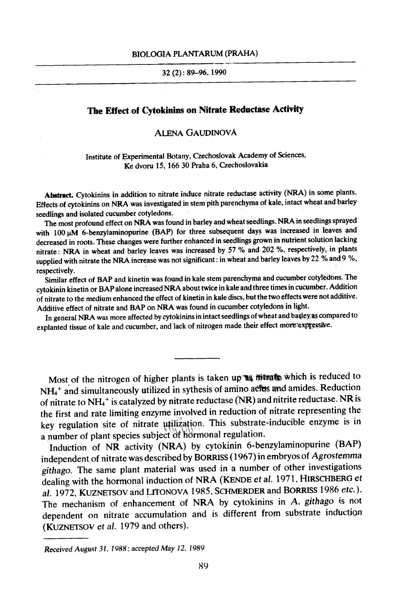#### BIOLOGIA PLANTARUM (PRAHA)

### :32 (2): 89-96, 1990

# **The Effect of Cytokinins on Nitrate Reductase Activity**

## ALENA GAUDINOVA

Institute of Experimental Botany, Czechoslovak Academy of Sciences, Ke dvoru 15, 166 30 Praha 6, Czechoslovakia

Abstract. Cytokinins in addition to nitrate induce nitrate reductase activity (NRA) in some plants. Effects of cytokinins on NRA was investigated in stem pith parenchyma of kale, intact wheat and barley seedlings and isolated cucumber cotyledons.

The most profound effect on NRA was found in barley and wheat seedlings. NRA in seedlings sprayed with  $100 \mu M$  6-benzylaminopurine (BAP) for three subsequent days was increased in leaves and decreased in roots, These changes were further enhanced in seedlings grown in nutrient solution lacking nitrate: NRA in wheat and barley leaves was increased by 57 % and 202 %, respectively, in plants supplied with nitrate the NRA increase was not significant: in Wheat and barley leaves by 22 % and 9 %, respectively.

Similar effect of BAP and kinetin was found in kale stem parenchyma and cucumber cotyledons. The cytokinin kinetin or BAP alone increased NRA about twice in kale and three times in cucumber. Addition of nitrate to the medium enhanced the effect of kinetin in kale discs, but the two effects were not additive. Additive effect of nitrate and BAP on NRA was found in cucumber cotyledons in light.

In general NRA was more affected by cytokinins in intact seedlings of wheat and barley, as compared to explanted tissue of kale and cucumber, and lack of nitrogen made their effect more expressive.

Most of the nitrogen of higher plants is taken up  $\mathbf{w}$  which is reduced to  $NH<sub>4</sub>$ <sup>+</sup> and simultaneously utilized in sythesis of amino actus and amides. Reduction of nitrate to  $NH_4$ <sup>+</sup> is catalyzed by nitrate reductase (NR) and nitrite reductase. NR is the first and rate limiting enzyme involved in reduction of nitrate representing the key regulation site of nitrate utilization. This substrate-inducible enzyme is in a number of plant species subject of hormonal regulation.

Induction of NR activity (NRA) by cytokinin 6-benzylaminopurine (BAP) independent of nitrate was described by BORRISS (1967) in embryos of *Agrostemma githago.* The same plant material was used in a number of other investigations dealing with the hormonal induction of NRA (KENDE *et al.* 1971, HIRSCHBERG et al. 1972, KUZNETSOV and LITONOVA 1985, SCHMERDER and BORRISS 1986 *etc.).*  The mechanism of enhancement of NRA by cytokinins in *A. githago* is not dependent on nitrate accumulation and is different from substrate induction (KUZNETSOV et al. 1979 and others).

*Received August 31, 1988; accepted* May *12, 1989*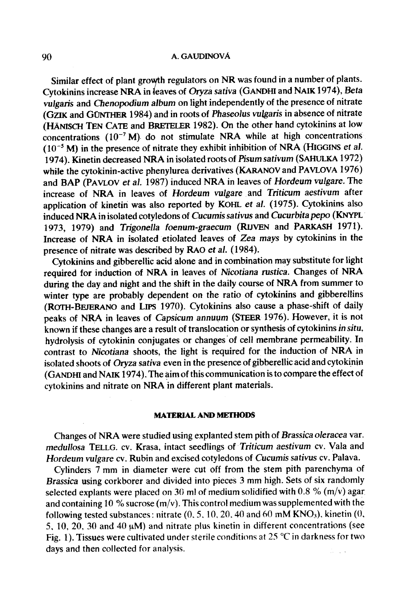### 90 A. GAUDINOVA

Similar effect of plant growth regulators on NR was found in a number of plants. Cytokinins increase NRA in leaves of Oryza *sativa* (GANDHI and NAIK 1974), *Beta vulgaris* and *Chenopodium album* on light independently of the presence of nitrate (GZIK and GONTHER 1984) and in roots of *Phaseolus vulgaris* in absence of nitrate  $(HANISCH$  TEN CATE and BRETELER 1982). On the other hand cytokinins at low concentrations  $(10^{-7} M)$  do not stimulate NRA while at high concentrations  $(10^{-5}$  M) in the presence of nitrate they exhibit inhibition of NRA (HIGGINS *et al.* 1974). Kinetin decreased NRA in isolated roots of *Pisum sativum* (SAHULKA 1972) while the cytokinin-active phenylurea derivatives (KARANOV and PAVLOVA 1976) and BAP (PAVLOV *et al.* 1987) induced NRA in leaves of *Hordeum vulgare.* The increase of NRA in leaves of *Hordeum vulgate* and *Triticum aestivum* after application of kinetin was also reported by KOHL et al. (1975). Cytokinins also induced NRA in isolated cotyledons of *Cucumis sativus* and *Cucurbita pepo* (KNYPL 1973, 1979) and *Trigonella foenum-graecum* (RIJVEN and PARKASH 1971). Increase of NRA in isolated etiolated leaves of *Zea mays* by cytokinins in the presence of nitrate was described by RAO *et al.* (1984).

Cytokinins and gibberellic acid alone and in combination may substitute for light required for induction of NRA in leaves of *Nicotiana rustica.* Changes of NRA during the day and night and the shift in the daily course of NRA from summer to winter type are probably dependent on the ratio of cytokinins and gibberellins (ROTH-BEJERANO and LIPS 1970). Cytokinins also cause a phase-shift of daily peaks of NRA in leaves of *Capsicum annuum* (STEER 1976). However, it is not known if these changes are a result of translocation or synthesis of cytokinins *in situ,*  hydrolysis of cytokinin conjugates or changes of cell membrane permeability. In contrast to *Nicotiana* shoots, the light is required for the induction of NRA in isolated shoots of *Oryza sativa* even in the presence of gibberellic acid and cytokinin (GANDHI and NAIK 1974). The aim of this communication is to compare the effect of cytokinins and nitrate on NRA in different plant materials.

## **MATERIAL AND METHODS**

Changes of NRA were studied using explanted stem pith of *Brassica oleracea* var. *medullosa* TELLG. cv. Krasa, intact seedlings of *Triticum aestivum* cv. Vala and *Hordeum vulgate* cv. Rubin and excised cotyledons of *Cucumis sativus* cv. Palava.

Cylinders 7 mm in diameter were cut off from the stem pith parenchyma of *Brassica* using corkborer and divided into pieces 3 mm high. Sets of six randomly selected explants were placed on 30 ml of medium solidified with 0.8 % (m/v) agar and containing 10 % sucrose ( $m/v$ ). This control medium was supplemented with the following tested substances: nitrate  $(0, 5, 10, 20, 40, 40, 60, 60, 60)$ , kinetin  $(0, 6, 10, 20, 40, 60)$ 5, 10, 20, 30 and 40  $\mu$ M) and nitrate plus kinetin in different concentrations (see Fig. 1). Tissues were cultivated under sterile conditions at 25  $\degree$ C in darkness for two days and then collected for analysis.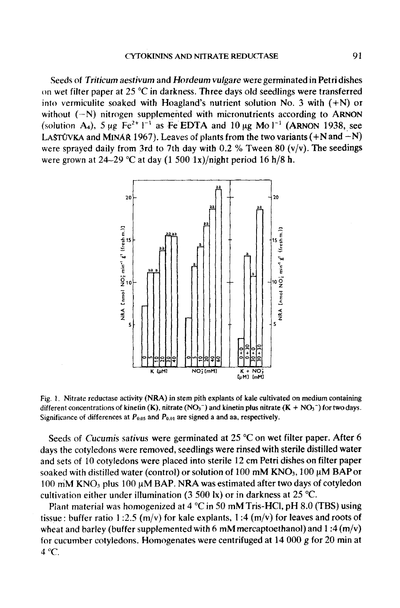**Seeds of** *Triticum aestivum* **and** *Hordeum vulgate* **were germinated in Petri dishes**  on wet filter paper at 25 °C in darkness. Three days old seedlings were transferred **into vermiculite soakad with Hoagland's nutrient solution No. 3 with (+N) or**  without  $(-N)$  nitrogen supplemented with micronutrients according to ARNON (solution A<sub>4</sub>), 5  $\mu$ g Fe<sup>2+</sup> 1<sup>-1</sup> as Fe EDTA and 10  $\mu$ g Mo 1<sup>-1</sup> (ARNON 1938, see LASTUVKA and MINAR 1967). Leaves of plants from the two variants  $(+N \text{ and } -N)$ **were sprayed daily from 3rd to 7th day with 0.2 % Tween 80 (v/v). The seedings**  were grown at  $24-29$  °C at day  $(1\,500\,1x)/$ night period 16 h/8 h.



**Fig. 1. Nitrate reductase activity (NRA) in stem pith explants of kale cultivated on medium containing**  different concentrations of kinetin  $(K)$ , nitrate  $(NO<sub>3</sub><sup>-</sup>)$  and kinetin plus nitrate  $(K + NO<sub>3</sub><sup>-</sup>)$  for two days. Significance of differences at  $P_{0.05}$  and  $P_{0.01}$  are signed a and aa, respectively.

Seeds of *Cucumis sativus* were germinated at 25 °C on wet filter paper. After 6 **days the cotyledons were removed, seedlings were rinsed with sterile distilled water and sets of 10 cotyledons were placed into sterile 12 cm Petri dishes on filter paper**  soaked with distilled water (control) or solution of 100 mM KNO<sub>3</sub>, 100 µM BAP or 100 mM KNO<sub>3</sub> plus 100 µM BAP. NRA was estimated after two days of cotyledon cultivation either under illumination  $(3, 500 \text{ kg})$  or in darkness at  $25 \text{ °C}$ .

Plant material was homogenized at 4 °C in 50 mM Tris-HCl, pH 8.0 (TBS) using tissue : buffer ratio 1:2.5 ( $m/v$ ) for kale explants, 1:4 ( $m/v$ ) for leaves and roots of **wheat and barley (buffer supplemented with 6 mM mercaptoethanol) and I :4 (m/v) for cucumber cotyledons. Homogenates were centrifuged at 14 000 g for 20 min at**   $4^{\circ}$ C.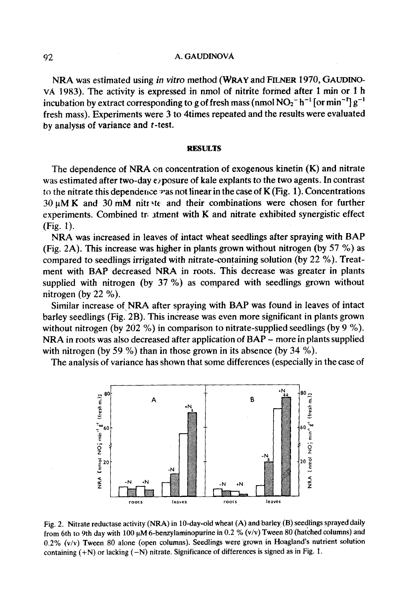#### 92 A. GAUDINOVA

NRA was estimated using *in vitro* method (WRAY and FILNER 1970, GAUDINOvA 1983). The activity is expressed in nmol of nitrite formed after 1 min or 1 h incubation by extract corresponding to g of fresh mass (nmol NO<sub>2</sub><sup>-</sup> h<sup>-1</sup> [or min<sup>-1</sup>]  $g^{-1}$ fresh mass). Experiments were 3 to 4times repeated and the results were evaluated by analysis of variance and  $t$ -test.

#### **RESULTS**

The dependence of NRA on concentration of exogenous kinetin  $(K)$  and nitrate was estimated after two-day exposure of kale explants to the two agents. In contrast to the nitrate this dependence  $\nu$  as not linear in the case of K (Fig. 1). Concentrations  $30~\mu$ M K and  $30~\text{m}$ M nitrate and their combinations were chosen for further experiments. Combined treatment with  $K$  and nitrate exhibited synergistic effect (Fig. 1).

NRA was increased in leaves of intact wheat seedlings after spraying with BAP (Fig. 2A). This increase was higher in plants grown without nitrogen (by 57 %) as compared to seedlings irrigated with nitrate-containing solution (by 22 %). Treatment with BAP decreased NRA in roots. This decrease was greater in plants supplied with nitrogen (by 37 %) as compared with seedlings grown without nitrogen (by 22 %).

Similar increase of NRA after spraying with BAP was found in leaves of intact barley seedlings (Fig. 2B). This increase was even more significant in plants grown without nitrogen (by 202 %) in comparison to nitrate-supplied seedlings (by 9 %). NRA in roots was also decreased after application of *BAP -* more in plants supplied with nitrogen (by 59 %) than in those grown in its absence (by 34 %).

The analysis of variance has shown that some differences (especially in the case of



Fig. 2. Nitrate reductase activity (NRA) in 10-day-old wheat (A) and barley (B) seedlings sprayed daily from 6th to 9th day with 100  $\mu$ M 6-benzylaminopurine in 0.2 % (v/v) Tween 80 (hatched columns) and 0.2% (v/v) Tween 80 alone (open columns). Seedlings were grown in Hoagland's nutrient solution containing  $(+N)$  or lacking  $(-N)$  nitrate. Significance of differences is signed as in Fig. 1.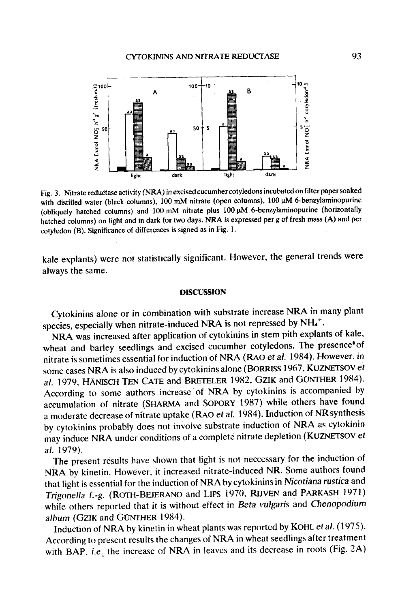

Fig. 3. Nitrate reductase activity (NRA) in excised cucumber cotyledons incubated on filter paper soaked with distilled water (black columns), 100 mM nitrate (open columns), 100 µM 6-benzylaminopurine (obliquely hatched columns) and  $100 \text{ mM}$  nitrate plus  $100 \mu \text{M}$  6-benzylaminopurine (horizontally hatched columns) on light and in dark for two days. NRA is expressed per g of fresh mass (A) and per cotyledon (B). Significance of differences is signed as in Fig. 1.

kale explants) were not statistically significant. However, the general trends were always the same.

### **DISCUSSION**

Cytokinins alone or in combination with substrate increase NRA in many plant species, especially when nitrate-induced NRA is not repressed by  $NH_4^+$ .

NRA was increased after application of cytokinins in stem pith explants of kale, wheat and barley seedlings and excised cucumber cotyledons. The presence<sup>6</sup> of nitrate is sometimes essential for induction of NRA (RA0 *et al.* ! 984). However, in some cases NRA is also induced by cytokinins alone (BORRISS 1967, KUZNETSOV *et*  al. 1979, HÄNISCH TEN CATE and BRETELER 1982, GZIK and GUNTHER 1984). According to some authors increase of NRA by cytokinins is accompanied by accumulation of nitrate (SHARMA and SOPORY 1987) while others have found a moderate decrease of nitrate uptake (RAO *et al.* 1984). Induction of NR synthesis by cytokinins probably does not involve substrate induction of NRA as cytokinin may induce NRA under conditions of a complete nitrate depletion (KUZNETSOV et *al.* 1979).

The present results have shown that light is not neccessary for the induction of NRA by kinetin. However, it increased nitrate-induced NR. Some authors found that light is essential for the induction of NRAby cytokinins in *Nicotiana rustica* and *Trigonella f.-g.* (ROTH-BEJERANO and LIPS 1970, RIJVEN and PARKASH 1971) while others reported that it is without effect in *Beta vulgaris* and *Chenopodium*  album (GZIK and GÜNTHER 1984).

Induction of NRA by kinetin in wheat plants was reported by KOHL *et al.* (1975). According to present results the changes of NRA in wheat seedlings after treatment with BAP, i.e. the increase of NRA in leaves and its decrease in roots (Fig. 2A)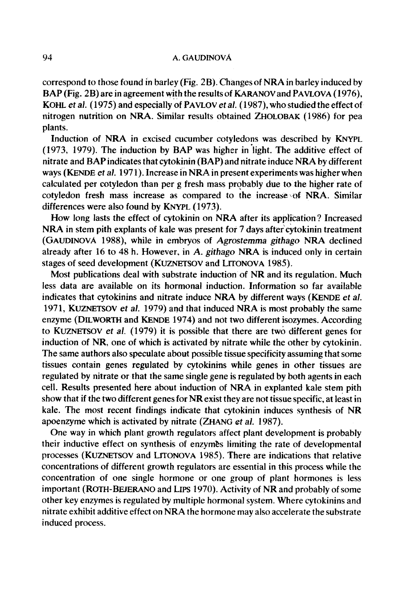## 94 A. GAUDINOVA

correspond to those found in barley (Fig. 2B). Changes of NRA in barley induced by BAP (Fig. 2B) are in agreement with the results of KARANOV and PAVLOVA (1976), KOHL *et ai.* (1975) and especially of PAVLOV *et al.* (1987), who studied the effect of nitrogen nutrition on NRA. Similar results obtained ZHOLOBAK (1986) for pea plants.

Induction of NRA in excised cucumber cotyledons was described by KNYPL (1973, 1979). The induction by BAP was higher in light. The additive effect of nitrate and BAP indicates that cytokinin (BAP) and nitrate induce NRA by different ways (KENDE *et al.* 1971). Increase in NRA in present experiments was higher when calculated per cotyledon than per g fresh mass probably due to the higher rate of cotyledon fresh mass increase as compared to the increase of NRA. Similar differences were also found by KNYPL (1973).

How long lasts the effect of cytokinin on NRA after its application ? Increased NRA in stem pith explants of kale was present for 7 days after'cytokinin treatment (GAUDINOVA 1988), while in embryos of *Agrostemma githago* NRA declined already after 16 to 48 h. However, in *A. githago* NRA is induced only in certain stages of seed development (KUZNETSOV and LITONOVA 1985).

Most publications deal with substrate induction of NR and its regulation. Much less data are available on its hormonal induction. Information so far available indicates that cytokinins and nitrate induce NRA by different ways (KENDE *et al.*  1971, KUZNETSOV *et al.* 1979) and that induced NRA is most probably the same enzyme (DILWORTH and KENDE 1974) and not two different isozymes. According to KUZNETSOV *et al.* (1979) it is possible that there are two different genes for induction of NR, one of which is activated by nitrate while the other by cytokinin. The same authors also speculate about possible tissue specificity assuming that some tissues contain genes regulated by cytokinins while genes in other tissues are regulated by nitrate or that the same single gene is regulated by both agents in each cell. Results presented here about induction of NRA in explanted kale stem pith show that if the two different genes for NR exist they are not tissue specific, at least in kale. The most recent findings indicate that cytokinin induces synthesis of NR apoenzyme which is activated by nitrate (ZHANG *ct al.* 1987).

One way in which plant growth regulators affect plant development is probably their inductive effect on synthesis of enzymes limiting the rate of developmental processes (KUZNETSOV and LrrONOVA 1985). There are indications that relative concentrations of different growth regulators are essential in this process while the concentration of one single hormone or one group of plant hormones is less important (ROTH-BEJERANO and LIPS 1970). Activity of NR and probably of some other key enzymes is regulated by multiple hormonal system. Where cytokinins and nitrate exhibit additive effect on NRA the hormone may also accelerate the substrate induced process.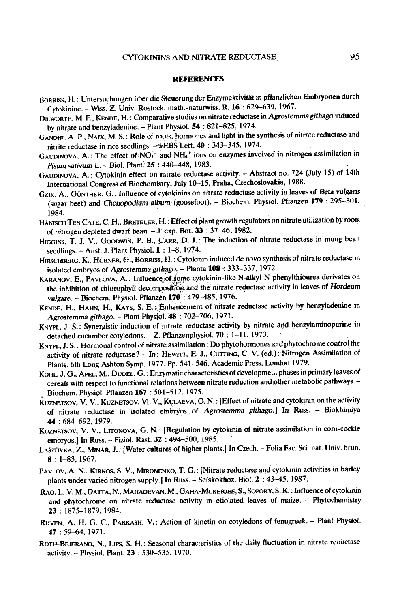#### **REFERENCES**

- BORRISS, H.: Untersuchungen über die Steuerung der Enzymaktivität in pflanzlichen Embryonen durch Cytokinine. - Wiss~Z. Univ. Rostock, math.-naturwiss. R. 16 : 629-639, 1967.
- Dlt.WORTH, M. F., KENDE, H. : Comparative studies on nitrate reductase in *Agrostemmagithago* induced by nitrate and benzyladenine. - Plant Physiol. 54: 821-825, 1974.
- GANDHI, A. P., NAIK, M. S.: Role of roots, hormones and light in the synthesis of nitrate reductase and nitrite reductase in rice seedlings. --EEBS Lett. 40 : 343-345, 1974.
- GAUDINOVA, A.: The effect of  $NO<sub>3</sub>$  and  $NH<sub>4</sub>$  ions on enzymes involved in nitrogen assimilation in Pisum sativum L. -- Biol. Plant. **25** : 440-448, 1983.
- GAUDINOVÁ, A.: Cytokinin effect on nitrate reductase activity. Abstract no. 724 (July 15) of 14th International Congress of Biochemistry, July 10-15, Praha, Czechoslovakia, 1988.
- GZIK, A., GÜNTHER, G.: Influence of cytokinins on nitrate reductase activity in leaves of Beta *vulgaris* (sugar beet) and *Chenopodium album* (goosefoot). - Biochem. Physiol. Pflanzen 179: 295-301, 1984.
- HÄNISCH TEN CATE, C. H., BRETELER, H.: Effect of plant growth regulators on nitrate utilization by roots of nitrogen depleted dwarf bean. - J. exp. Bot. 33 : 37-46, 1982.
- HIGGINS, T. J. V., GOODWIN, P. B., CARR, D. J.: The induction of nitrate reductase in mung bean seedlings.  $-$  Aust. J. Plant Physiol.  $1 : 1-8$ , 1974.
- HIRSCHBERG, K., HÜBNER, G., BORRISS, H.: Cytokinin induced *de novo* synthesis of nitrate reductase in isolated embryos of *Agrostemma githago.,* Pianta 108 : 333-337, 1972.
- solated embryos of Agrostemina ganggo, a rand 2007 opp. 2007, 2012. the inhibition of chlorophyll decomposition and the nitrate reductase activity in leaves of *Hordeum vulgate. -* Biocbem. Physiol. Pflanzen 170 : 479--485, 1976.
- KENDE, H., HAHN, H., KAYS, S. E. "Enhancement of nitrate reductase activity by benzyladenine in *Agrostemma githago. -* Plant PhysioL 48 : 702-706, 1971.
- KNYPL, J. S.: Synergistic induction of nitrate reductase activity by nitrate and benzylaminopurine in detached cucumber cotyledons. - Z. Pflanzenphysiol. 70 : 1-11, 1973.
- KNYPL, J. S.: Hormonal control of nitrate assimilation: Do phytohormones and phytochrome control the activity of nitrate reductase? - In: HEWITT, E. J., CUTTING, C. V. (ed.): Nitrogen Assimilation of Plants. 6th Long Ashton Symp. 1977. Pp. 541-546. Academic Press, London 1979.
- KOHL, J. G., APEL, M., DUDEL, G.: Enzymatic characteristics of developme., phases in primary leaves of cereals with respect to functional relations between nitrate reduction and other metabolic pathways. -Biochem. Physiol. Pflanzen 167 : 501-512, 1975.
- KUZNETSOV, V. V., KUZNETSOV, VI. V., KULAEVA, O. N. : [Effect of nitrate and cytokinin on the activity of nitrate reductase in isolated embryos of *Agrostemma githago.]* In Russ. - Biokhimiya 44 : 684-692, 1979.
- KUZNETSOV, V. V., LITONOVA, G. N.: [Regulation by cytokinin of nitrate assimilation in corn-cockle embryos.] In Russ. - Fiziol. Rast. 32 : 494-500, I985.
- LASTŮVKA, Z., MINAŘ, J. : [Water cultures of higher plants.] In Czech. Folia Fac. Sci. nat. Univ. brun. 8 : 1-83, 1967.
- PAVLOV, A. N., KIRNOS, S. V., MIRONENKO, T. G.: [Nitrate reductase and cytokinin activities in barley plants under varied nitrogen supply.] In Russ. - Setskokhoz. Biol. 2 : 43-45, 1987.
- RAO, L. V. M., DATTA, N., MAHADEVAN, M., GAHA-MUKERJEE, S., SOPORY, S. K. : Influence of cytokinin and phytochrome on nitrate reductase activity in etiolated leaves of maize. - Phytochemistry 23 : 1875-1879, 1984.
- RIJVEN, A. H. G. C., PARKASH, V.: Action of kinetin on cotyledons of fenugreek. Plant Physiol. 47 : 59-64, 1971,
- ROTH-BEJERANO, N., LIPS, S. H.: Seasonal characteristics of the daily fluctuation in nitrate requetase activity. - Physiol. Plant. 23 : 530-535, 1970.